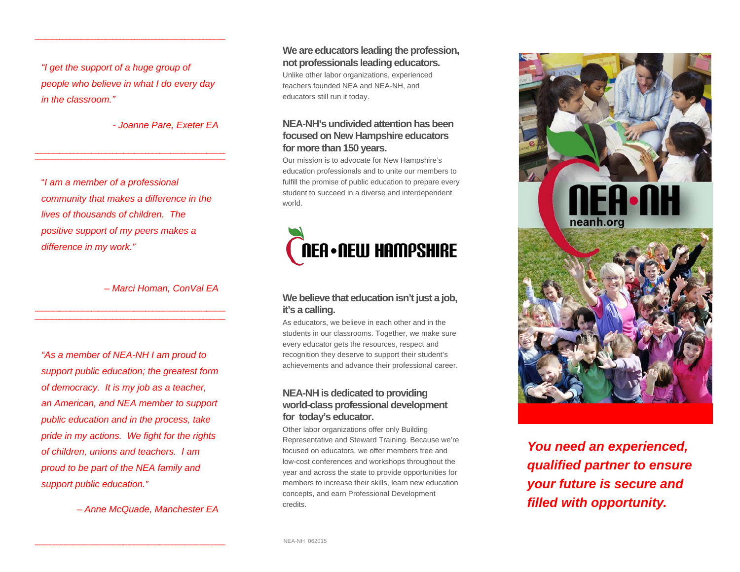*"I get the support of a huge group of people who believe in what I do every day in the classroom."* 

*- Joanne Pare, Exeter EA* 

"*I am a member of a professional community that makes a difference in the lives of thousands of children. The positive support of my peers makes a difference in my work."* 

*– Marci Homan, ConVal EA* 

*"As a member of NEA-NH I am proud to support public education; the greatest form of democracy. It is my job as a teacher, an American, and NEA member to support public education and in the process, take pride in my actions. We fight for the rights of children, unions and teachers. I am proud to be part of the NEA family and support public education."* 

*– Anne McQuade, Manchester EA* 

**We are educators leading the profession, not professionals leading educators.** 

Unlike other labor organizations, experienced teachers founded NEA and NEA-NH, and educators still run it today.

#### **NEA-NH's undivided attention has been focused on New Hampshire educators for more than 150 years.**

Our mission is to advocate for New Hampshire's education professionals and to unite our members to fulfill the promise of public education to prepare every student to succeed in a diverse and interdependent world.



#### **We believe that education isn't just a job, it's a calling.**

As educators, we believe in each other and in the students in our classrooms. Together, we make sure every educator gets the resources, respect and recognition they deserve to support their student's achievements and advance their professional career.

#### **NEA-NH is dedicated to providing world-class professional development for today's educator.**

Other labor organizations offer only Building Representative and Steward Training. Because we're focused on educators, we offer members free and low-cost conferences and workshops throughout the year and across the state to provide opportunities for members to increase their skills, learn new education concepts, and earn Professional Development credits.



*You need an experienced, qualified partner to ensure your future is secure and filled with opportunity.*